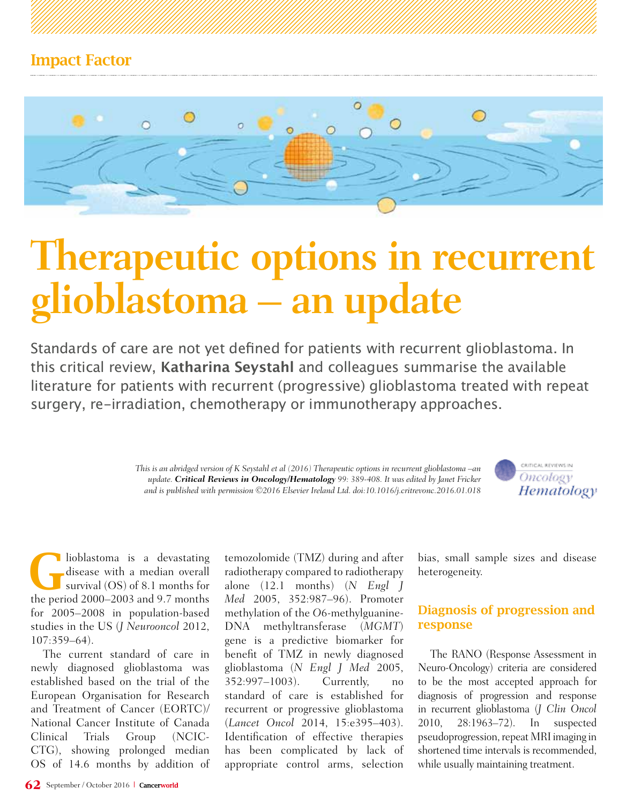

# **Therapeutic options in recurrent glioblastoma – an update**

Standards of care are not yet defined for patients with recurrent glioblastoma. In this critical review, **Katharina Seystahl** and colleagues summarise the available literature for patients with recurrent (progressive) glioblastoma treated with repeat surgery, re-irradiation, chemotherapy or immunotherapy approaches.

> *This is an abridged version of K Seystahl et al (2016) Therapeutic options in recurrent glioblastoma –an update. Critical Reviews in Oncology/Hematology 99: 389-408. It was edited by Janet Fricker and is published with permission ©2016 Elsevier Ireland Ltd. doi:10.1016/j.critrevonc.2016.01.018*



lioblastoma is a devastating<br>disease with a median overall<br>survival (OS) of 8.1 months for disease with a median overall the period 2000–2003 and 9.7 months for 2005–2008 in population-based studies in the US (*J Neurooncol* 2012, 107:359–64).

The current standard of care in newly diagnosed glioblastoma was established based on the trial of the European Organisation for Research and Treatment of Cancer (EORTC)/ National Cancer Institute of Canada Clinical Trials Group (NCIC-CTG), showing prolonged median OS of 14.6 months by addition of temozolomide (TMZ) during and after radiotherapy compared to radiotherapy alone (12.1 months) (*N Engl J Med* 2005, 352:987–96). Promoter methylation of the *O*6-methylguanine-DNA methyltransferase (*MGMT*) gene is a predictive biomarker for benefit of TMZ in newly diagnosed glioblastoma (*N Engl J Med* 2005, 352:997–1003). Currently, no standard of care is established for recurrent or progressive glioblastoma (*Lancet Oncol* 2014, 15:e395–403). Identification of effective therapies has been complicated by lack of appropriate control arms, selection

bias, small sample sizes and disease heterogeneity.

# Diagnosis of progression and response

The RANO (Response Assessment in Neuro-Oncology) criteria are considered to be the most accepted approach for diagnosis of progression and response in recurrent glioblastoma (*J Clin Oncol* 2010, 28:1963–72). In suspected pseudoprogression, repeat MRI imaging in shortened time intervals is recommended, while usually maintaining treatment.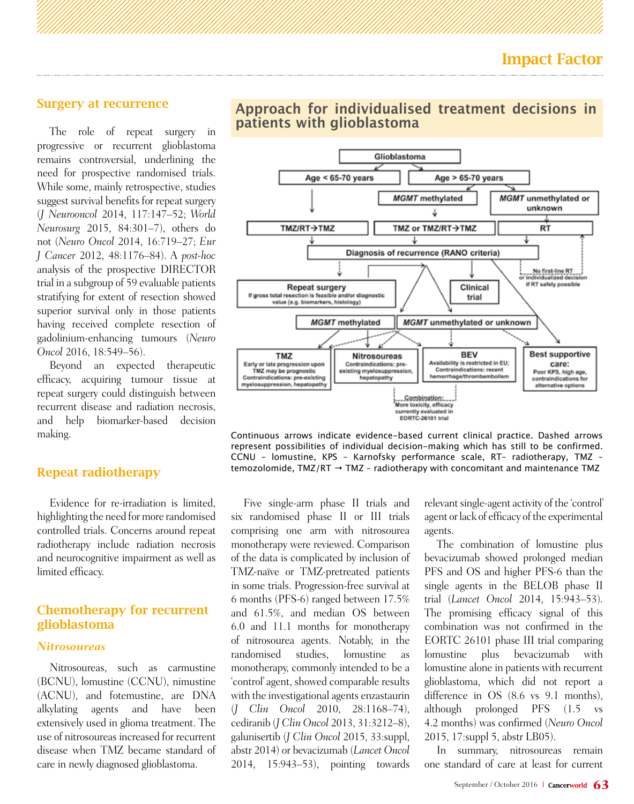#### Surgery at recurrence

The role of repeat surgery in progressive or recurrent glioblastoma remains controversial, underlining the need for prospective randomised trials. While some, mainly retrospective, studies suggest survival benefits for repeat surgery (*J Neurooncol* 2014, 117:147–52; *World Neurosurg* 2015, 84:301–7), others do not (*Neuro Oncol* 2014, 16:719–27; *Eur J Cancer* 2012, 48:1176–84). A *post-hoc* analysis of the prospective DIRECTOR trial in a subgroup of 59 evaluable patients stratifying for extent of resection showed superior survival only in those patients having received complete resection of gadolinium-enhancing tumours (*Neuro Oncol* 2016, 18:549–56).

Beyond an expected therapeutic efficacy, acquiring tumour tissue at repeat surgery could distinguish between recurrent disease and radiation necrosis, and help biomarker-based decision making.

## Repeat radiotherapy

Evidence for re-irradiation is limited, highlighting the need for more randomised controlled trials. Concerns around repeat radiotherapy include radiation necrosis and neurocognitive impairment as well as limited efficacy.

# Chemotherapy for recurrent glioblastoma

#### *Nitrosoureas*

Nitrosoureas, such as carmustine (BCNU), lomustine (CCNU), nimustine (ACNU), and fotemustine, are DNA alkylating agents and have been extensively used in glioma treatment. The use of nitrosoureas increased for recurrent disease when TMZ became standard of care in newly diagnosed glioblastoma.





Continuous arrows indicate evidence-based current clinical practice. Dashed arrows represent possibilities of individual decision-making which has still to be confirmed. CCNU – lomustine, KPS – Karnofsky performance scale, RT– radiotherapy, TMZ – temozolomide, TMZ/RT  $\rightarrow$  TMZ - radiotherapy with concomitant and maintenance TMZ

Five single-arm phase II trials and six randomised phase II or III trials comprising one arm with nitrosourea monotherapy were reviewed. Comparison of the data is complicated by inclusion of TMZ-naïve or TMZ-pretreated patients in some trials. Progression-free survival at 6 months (PFS-6) ranged between 17.5% and 61.5%, and median OS between 6.0 and 11.1 months for monotherapy of nitrosourea agents. Notably, in the randomised studies, lomustine as monotherapy, commonly intended to be a 'control' agent, showed comparable results with the investigational agents enzastaurin (*J Clin Oncol* 2010, 28:1168–74), cediranib (*J Clin Oncol* 2013, 31:3212–8), galunisertib (*J Clin Oncol* 2015, 33:suppl, abstr 2014) or bevacizumab (*Lancet Oncol* 2014, 15:943–53), pointing towards

relevant single-agent activity of the 'control' agent or lack of efficacy of the experimental agents.

The combination of lomustine plus bevacizumab showed prolonged median PFS and OS and higher PFS-6 than the single agents in the BELOB phase II trial (*Lancet Oncol* 2014, 15:943–53). The promising efficacy signal of this combination was not confirmed in the EORTC 26101 phase III trial comparing lomustine plus bevacizumab with lomustine alone in patients with recurrent glioblastoma, which did not report a difference in OS (8.6 vs 9.1 months), although prolonged PFS (1.5 vs 4.2 months) was confirmed (*Neuro Oncol* 2015, 17:suppl 5, abstr LB05).

In summary, nitrosoureas remain one standard of care at least for current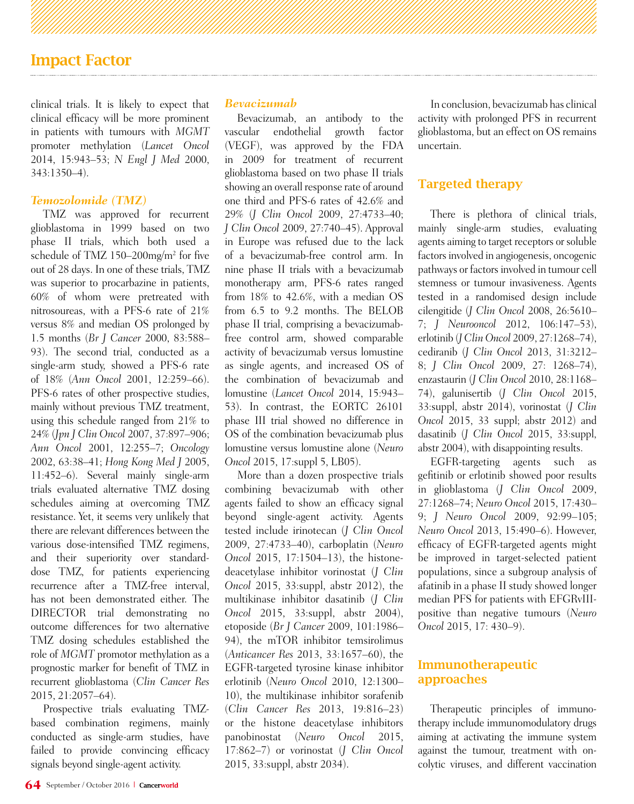# Impact Factor

clinical trials. It is likely to expect that clinical efficacy will be more prominent in patients with tumours with *MGMT* promoter methylation (*Lancet Oncol* 2014, 15:943–53; *N Engl J Med* 2000, 343:1350–4).

#### *Temozolomide (TMZ)*

TMZ was approved for recurrent glioblastoma in 1999 based on two phase II trials, which both used a schedule of TMZ 150–200mg/m2 for five out of 28 days. In one of these trials, TMZ was superior to procarbazine in patients, 60% of whom were pretreated with nitrosoureas, with a PFS-6 rate of 21% versus 8% and median OS prolonged by 1.5 months (*Br J Cancer* 2000, 83:588– 93). The second trial, conducted as a single-arm study, showed a PFS-6 rate of 18% (*Ann Oncol* 2001, 12:259–66). PFS-6 rates of other prospective studies, mainly without previous TMZ treatment, using this schedule ranged from 21% to 24% (*Jpn J Clin Oncol* 2007, 37:897–906; *Ann Oncol* 2001, 12:255–7; *Oncology* 2002, 63:38–41; *Hong Kong Med J* 2005, 11:452–6). Several mainly single-arm trials evaluated alternative TMZ dosing schedules aiming at overcoming TMZ resistance. Yet, it seems very unlikely that there are relevant differences between the various dose-intensified TMZ regimens, and their superiority over standarddose TMZ, for patients experiencing recurrence after a TMZ-free interval, has not been demonstrated either. The DIRECTOR trial demonstrating no outcome differences for two alternative TMZ dosing schedules established the role of *MGMT* promotor methylation as a prognostic marker for benefit of TMZ in recurrent glioblastoma (*Clin Cancer Res* 2015, 21:2057–64).

Prospective trials evaluating TMZbased combination regimens, mainly conducted as single-arm studies, have failed to provide convincing efficacy signals beyond single-agent activity.

## *Bevacizumab*

Bevacizumab, an antibody to the vascular endothelial growth factor (VEGF), was approved by the FDA in 2009 for treatment of recurrent glioblastoma based on two phase II trials showing an overall response rate of around one third and PFS-6 rates of 42.6% and 29% (*J Clin Oncol* 2009, 27:4733–40; *J Clin Oncol* 2009, 27:740–45). Approval in Europe was refused due to the lack of a bevacizumab-free control arm. In nine phase II trials with a bevacizumab monotherapy arm, PFS-6 rates ranged from 18% to 42.6%, with a median OS from 6.5 to 9.2 months. The BELOB phase II trial, comprising a bevacizumabfree control arm, showed comparable activity of bevacizumab versus lomustine as single agents, and increased OS of the combination of bevacizumab and lomustine (*Lancet Oncol* 2014, 15:943– 53). In contrast, the EORTC 26101 phase III trial showed no difference in OS of the combination bevacizumab plus lomustine versus lomustine alone (*Neuro Oncol* 2015, 17:suppl 5, LB05).

More than a dozen prospective trials combining bevacizumab with other agents failed to show an efficacy signal beyond single-agent activity. Agents tested include irinotecan (*J Clin Oncol* 2009, 27:4733–40), carboplatin (*Neuro Oncol* 2015, 17:1504–13), the histonedeacetylase inhibitor vorinostat (*J Clin Oncol* 2015, 33:suppl, abstr 2012), the multikinase inhibitor dasatinib (*J Clin Oncol* 2015, 33:suppl, abstr 2004), etoposide (*Br J Cancer* 2009, 101:1986– 94), the mTOR inhibitor temsirolimus (*Anticancer Res* 2013, 33:1657–60), the EGFR-targeted tyrosine kinase inhibitor erlotinib (*Neuro Oncol* 2010, 12:1300– 10), the multikinase inhibitor sorafenib (*Clin Cancer Res* 2013, 19:816–23) or the histone deacetylase inhibitors panobinostat (*Neuro Oncol* 2015, 17:862–7) or vorinostat (*J Clin Oncol*  2015, 33:suppl, abstr 2034).

In conclusion, bevacizumab has clinical activity with prolonged PFS in recurrent glioblastoma, but an effect on OS remains uncertain.

# Targeted therapy

There is plethora of clinical trials, mainly single-arm studies, evaluating agents aiming to target receptors or soluble factors involved in angiogenesis, oncogenic pathways or factors involved in tumour cell stemness or tumour invasiveness. Agents tested in a randomised design include cilengitide (*J Clin Oncol* 2008, 26:5610– 7; *J Neurooncol* 2012, 106:147–53), erlotinib (*J Clin Oncol* 2009, 27:1268–74), cediranib (*J Clin Oncol* 2013, 31:3212– 8; *J Clin Oncol* 2009, 27: 1268–74), enzastaurin (*J Clin Oncol* 2010, 28:1168– 74), galunisertib (*J Clin Oncol* 2015, 33:suppl, abstr 2014), vorinostat (*J Clin Oncol* 2015, 33 suppl; abstr 2012) and dasatinib (*J Clin Oncol* 2015, 33:suppl, abstr 2004), with disappointing results.

EGFR-targeting agents such as gefitinib or erlotinib showed poor results in glioblastoma (*J Clin Oncol* 2009, 27:1268–74; *Neuro Oncol* 2015, 17:430– 9; *J Neuro Oncol* 2009, 92:99–105; *Neuro Oncol* 2013, 15:490–6). However, efficacy of EGFR-targeted agents might be improved in target-selected patient populations, since a subgroup analysis of afatinib in a phase II study showed longer median PFS for patients with EFGRvIIIpositive than negative tumours (*Neuro Oncol* 2015, 17: 430–9).

# Immunotherapeutic approaches

Therapeutic principles of immunotherapy include immunomodulatory drugs aiming at activating the immune system against the tumour, treatment with oncolytic viruses, and different vaccination